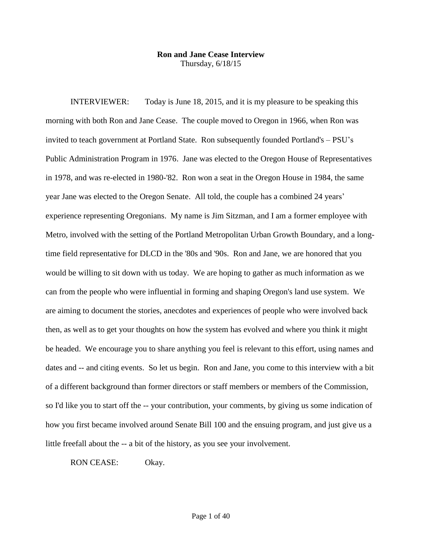## **Ron and Jane Cease Interview** Thursday, 6/18/15

INTERVIEWER: Today is June 18, 2015, and it is my pleasure to be speaking this morning with both Ron and Jane Cease. The couple moved to Oregon in 1966, when Ron was invited to teach government at Portland State. Ron subsequently founded Portland's – PSU's Public Administration Program in 1976. Jane was elected to the Oregon House of Representatives in 1978, and was re-elected in 1980-'82. Ron won a seat in the Oregon House in 1984, the same year Jane was elected to the Oregon Senate. All told, the couple has a combined 24 years' experience representing Oregonians. My name is Jim Sitzman, and I am a former employee with Metro, involved with the setting of the Portland Metropolitan Urban Growth Boundary, and a longtime field representative for DLCD in the '80s and '90s. Ron and Jane, we are honored that you would be willing to sit down with us today. We are hoping to gather as much information as we can from the people who were influential in forming and shaping Oregon's land use system. We are aiming to document the stories, anecdotes and experiences of people who were involved back then, as well as to get your thoughts on how the system has evolved and where you think it might be headed. We encourage you to share anything you feel is relevant to this effort, using names and dates and -- and citing events. So let us begin. Ron and Jane, you come to this interview with a bit of a different background than former directors or staff members or members of the Commission, so I'd like you to start off the -- your contribution, your comments, by giving us some indication of how you first became involved around Senate Bill 100 and the ensuing program, and just give us a little freefall about the -- a bit of the history, as you see your involvement.

RON CEASE: Okay.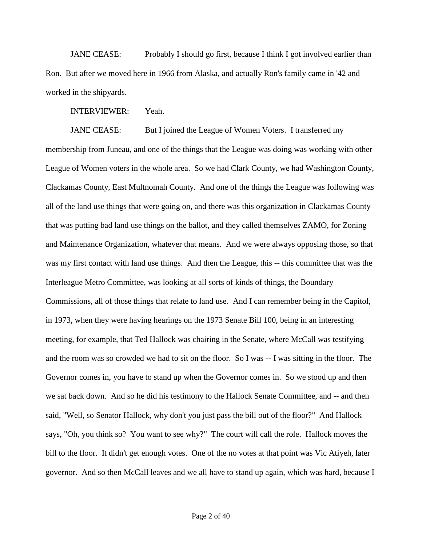JANE CEASE: Probably I should go first, because I think I got involved earlier than Ron. But after we moved here in 1966 from Alaska, and actually Ron's family came in '42 and worked in the shipyards.

INTERVIEWER: Yeah.

JANE CEASE: But I joined the League of Women Voters. I transferred my membership from Juneau, and one of the things that the League was doing was working with other League of Women voters in the whole area. So we had Clark County, we had Washington County, Clackamas County, East Multnomah County. And one of the things the League was following was all of the land use things that were going on, and there was this organization in Clackamas County that was putting bad land use things on the ballot, and they called themselves ZAMO, for Zoning and Maintenance Organization, whatever that means. And we were always opposing those, so that was my first contact with land use things. And then the League, this -- this committee that was the Interleague Metro Committee, was looking at all sorts of kinds of things, the Boundary Commissions, all of those things that relate to land use. And I can remember being in the Capitol, in 1973, when they were having hearings on the 1973 Senate Bill 100, being in an interesting meeting, for example, that Ted Hallock was chairing in the Senate, where McCall was testifying and the room was so crowded we had to sit on the floor. So I was -- I was sitting in the floor. The Governor comes in, you have to stand up when the Governor comes in. So we stood up and then we sat back down. And so he did his testimony to the Hallock Senate Committee, and -- and then said, "Well, so Senator Hallock, why don't you just pass the bill out of the floor?" And Hallock says, "Oh, you think so? You want to see why?" The court will call the role. Hallock moves the bill to the floor. It didn't get enough votes. One of the no votes at that point was Vic Atiyeh, later governor. And so then McCall leaves and we all have to stand up again, which was hard, because I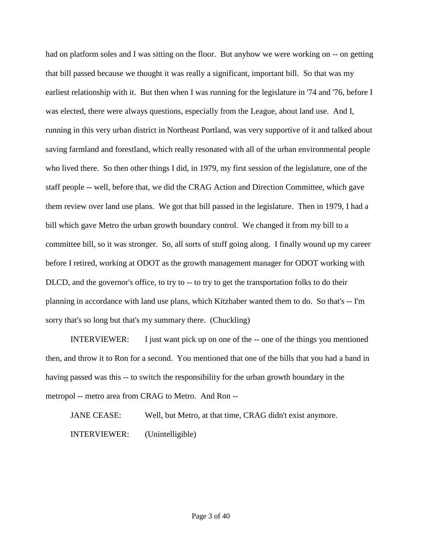had on platform soles and I was sitting on the floor. But anyhow we were working on -- on getting that bill passed because we thought it was really a significant, important bill. So that was my earliest relationship with it. But then when I was running for the legislature in '74 and '76, before I was elected, there were always questions, especially from the League, about land use. And I, running in this very urban district in Northeast Portland, was very supportive of it and talked about saving farmland and forestland, which really resonated with all of the urban environmental people who lived there. So then other things I did, in 1979, my first session of the legislature, one of the staff people -- well, before that, we did the CRAG Action and Direction Committee, which gave them review over land use plans. We got that bill passed in the legislature. Then in 1979, I had a bill which gave Metro the urban growth boundary control. We changed it from my bill to a committee bill, so it was stronger. So, all sorts of stuff going along. I finally wound up my career before I retired, working at ODOT as the growth management manager for ODOT working with DLCD, and the governor's office, to try to -- to try to get the transportation folks to do their planning in accordance with land use plans, which Kitzhaber wanted them to do. So that's -- I'm sorry that's so long but that's my summary there. (Chuckling)

INTERVIEWER: I just want pick up on one of the -- one of the things you mentioned then, and throw it to Ron for a second. You mentioned that one of the bills that you had a hand in having passed was this -- to switch the responsibility for the urban growth boundary in the metropol -- metro area from CRAG to Metro. And Ron --

JANE CEASE: Well, but Metro, at that time, CRAG didn't exist anymore. INTERVIEWER: (Unintelligible)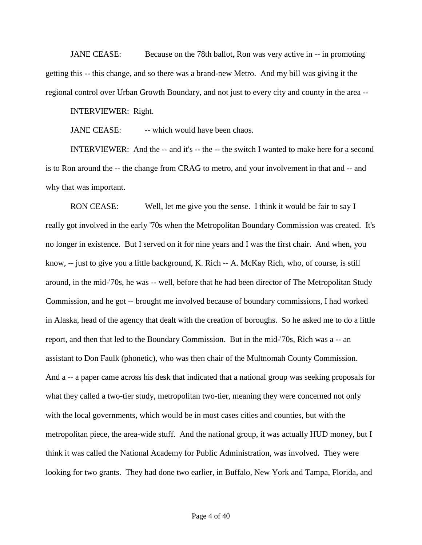JANE CEASE: Because on the 78th ballot, Ron was very active in -- in promoting getting this -- this change, and so there was a brand-new Metro. And my bill was giving it the regional control over Urban Growth Boundary, and not just to every city and county in the area --

INTERVIEWER: Right.

JANE CEASE: -- which would have been chaos.

INTERVIEWER: And the -- and it's -- the -- the switch I wanted to make here for a second is to Ron around the -- the change from CRAG to metro, and your involvement in that and -- and why that was important.

RON CEASE: Well, let me give you the sense. I think it would be fair to say I really got involved in the early '70s when the Metropolitan Boundary Commission was created. It's no longer in existence. But I served on it for nine years and I was the first chair. And when, you know, -- just to give you a little background, K. Rich -- A. McKay Rich, who, of course, is still around, in the mid-'70s, he was -- well, before that he had been director of The Metropolitan Study Commission, and he got -- brought me involved because of boundary commissions, I had worked in Alaska, head of the agency that dealt with the creation of boroughs. So he asked me to do a little report, and then that led to the Boundary Commission. But in the mid-'70s, Rich was a -- an assistant to Don Faulk (phonetic), who was then chair of the Multnomah County Commission. And a -- a paper came across his desk that indicated that a national group was seeking proposals for what they called a two-tier study, metropolitan two-tier, meaning they were concerned not only with the local governments, which would be in most cases cities and counties, but with the metropolitan piece, the area-wide stuff. And the national group, it was actually HUD money, but I think it was called the National Academy for Public Administration, was involved. They were looking for two grants. They had done two earlier, in Buffalo, New York and Tampa, Florida, and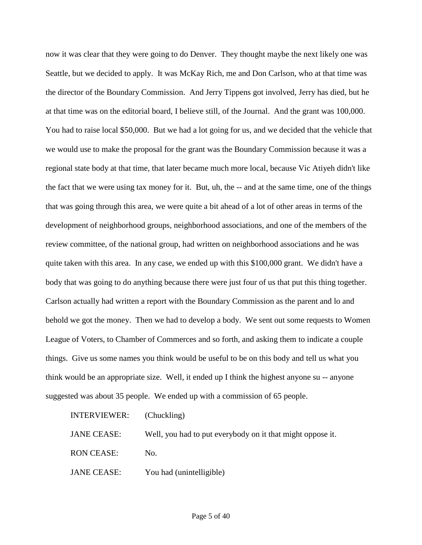now it was clear that they were going to do Denver. They thought maybe the next likely one was Seattle, but we decided to apply. It was McKay Rich, me and Don Carlson, who at that time was the director of the Boundary Commission. And Jerry Tippens got involved, Jerry has died, but he at that time was on the editorial board, I believe still, of the Journal. And the grant was 100,000. You had to raise local \$50,000. But we had a lot going for us, and we decided that the vehicle that we would use to make the proposal for the grant was the Boundary Commission because it was a regional state body at that time, that later became much more local, because Vic Atiyeh didn't like the fact that we were using tax money for it. But, uh, the -- and at the same time, one of the things that was going through this area, we were quite a bit ahead of a lot of other areas in terms of the development of neighborhood groups, neighborhood associations, and one of the members of the review committee, of the national group, had written on neighborhood associations and he was quite taken with this area. In any case, we ended up with this \$100,000 grant. We didn't have a body that was going to do anything because there were just four of us that put this thing together. Carlson actually had written a report with the Boundary Commission as the parent and lo and behold we got the money. Then we had to develop a body. We sent out some requests to Women League of Voters, to Chamber of Commerces and so forth, and asking them to indicate a couple things. Give us some names you think would be useful to be on this body and tell us what you think would be an appropriate size. Well, it ended up I think the highest anyone su -- anyone suggested was about 35 people. We ended up with a commission of 65 people.

| INTERVIEWER: | (Chuckling)                                                |
|--------------|------------------------------------------------------------|
| JANE CEASE:  | Well, you had to put everybody on it that might oppose it. |
| RON CEASE:   | No.                                                        |
| JANE CEASE:  | You had (unintelligible)                                   |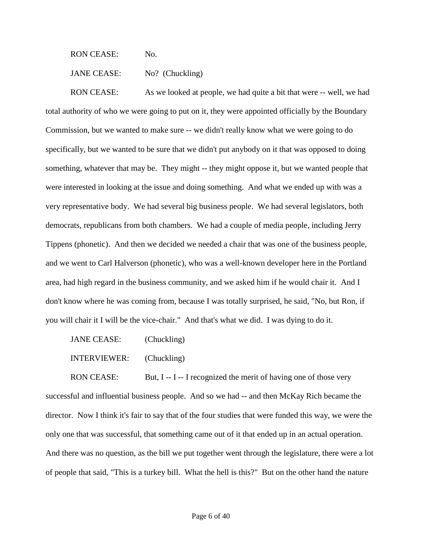RON CEASE: No.

JANE CEASE: No? (Chuckling)

RON CEASE: As we looked at people, we had quite a bit that were -- well, we had total authority of who we were going to put on it, they were appointed officially by the Boundary Commission, but we wanted to make sure -- we didn't really know what we were going to do specifically, but we wanted to be sure that we didn't put anybody on it that was opposed to doing something, whatever that may be. They might -- they might oppose it, but we wanted people that were interested in looking at the issue and doing something. And what we ended up with was a very representative body. We had several big business people. We had several legislators, both democrats, republicans from both chambers. We had a couple of media people, including Jerry Tippens (phonetic). And then we decided we needed a chair that was one of the business people, and we went to Carl Halverson (phonetic), who was a well-known developer here in the Portland area, had high regard in the business community, and we asked him if he would chair it. And I don't know where he was coming from, because I was totally surprised, he said, "No, but Ron, if you will chair it I will be the vice-chair." And that's what we did. I was dying to do it.

JANE CEASE: (Chuckling)

INTERVIEWER: (Chuckling)

RON CEASE: But, I -- I -- I recognized the merit of having one of those very successful and influential business people. And so we had -- and then McKay Rich became the director. Now I think it's fair to say that of the four studies that were funded this way, we were the only one that was successful, that something came out of it that ended up in an actual operation. And there was no question, as the bill we put together went through the legislature, there were a lot of people that said, "This is a turkey bill. What the hell is this?" But on the other hand the nature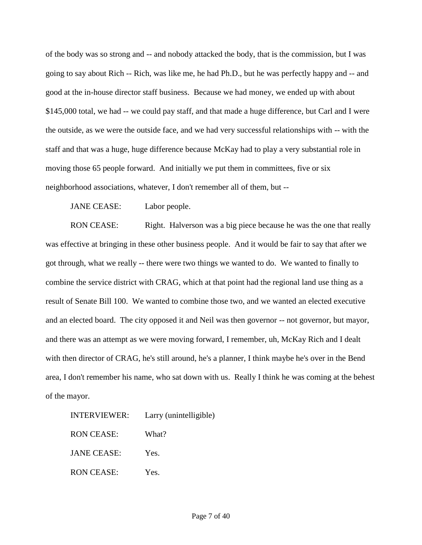of the body was so strong and -- and nobody attacked the body, that is the commission, but I was going to say about Rich -- Rich, was like me, he had Ph.D., but he was perfectly happy and -- and good at the in-house director staff business. Because we had money, we ended up with about \$145,000 total, we had -- we could pay staff, and that made a huge difference, but Carl and I were the outside, as we were the outside face, and we had very successful relationships with -- with the staff and that was a huge, huge difference because McKay had to play a very substantial role in moving those 65 people forward. And initially we put them in committees, five or six neighborhood associations, whatever, I don't remember all of them, but --

JANE CEASE: Labor people.

RON CEASE: Right. Halverson was a big piece because he was the one that really was effective at bringing in these other business people. And it would be fair to say that after we got through, what we really -- there were two things we wanted to do. We wanted to finally to combine the service district with CRAG, which at that point had the regional land use thing as a result of Senate Bill 100. We wanted to combine those two, and we wanted an elected executive and an elected board. The city opposed it and Neil was then governor -- not governor, but mayor, and there was an attempt as we were moving forward, I remember, uh, McKay Rich and I dealt with then director of CRAG, he's still around, he's a planner, I think maybe he's over in the Bend area, I don't remember his name, who sat down with us. Really I think he was coming at the behest of the mayor.

| INTERVIEWER:       | Larry (unintelligible) |
|--------------------|------------------------|
| RON CEASE:         | What?                  |
| <b>JANE CEASE:</b> | Yes.                   |
| RON CEASE:         | Yes.                   |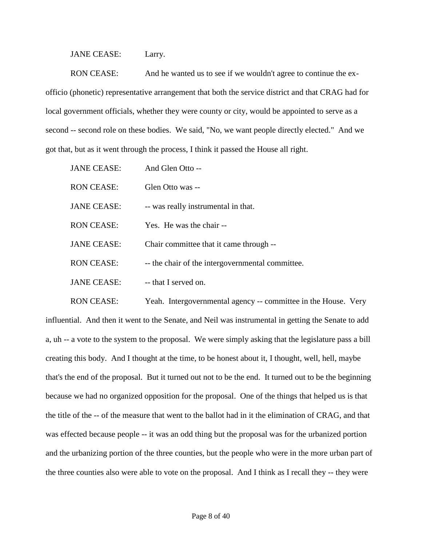JANE CEASE: Larry.

RON CEASE: And he wanted us to see if we wouldn't agree to continue the exofficio (phonetic) representative arrangement that both the service district and that CRAG had for local government officials, whether they were county or city, would be appointed to serve as a second -- second role on these bodies. We said, "No, we want people directly elected." And we got that, but as it went through the process, I think it passed the House all right.

| <b>JANE CEASE:</b> | And Glen Otto --                                 |
|--------------------|--------------------------------------------------|
| <b>RON CEASE:</b>  | Glen Otto was --                                 |
| <b>JANE CEASE:</b> | -- was really instrumental in that.              |
| <b>RON CEASE:</b>  | Yes. He was the chair --                         |
| <b>JANE CEASE:</b> | Chair committee that it came through --          |
| <b>RON CEASE:</b>  | -- the chair of the intergovernmental committee. |
| <b>JANE CEASE:</b> | -- that I served on.                             |
|                    |                                                  |

RON CEASE: Yeah. Intergovernmental agency -- committee in the House. Very influential. And then it went to the Senate, and Neil was instrumental in getting the Senate to add a, uh -- a vote to the system to the proposal. We were simply asking that the legislature pass a bill creating this body. And I thought at the time, to be honest about it, I thought, well, hell, maybe that's the end of the proposal. But it turned out not to be the end. It turned out to be the beginning because we had no organized opposition for the proposal. One of the things that helped us is that the title of the -- of the measure that went to the ballot had in it the elimination of CRAG, and that was effected because people -- it was an odd thing but the proposal was for the urbanized portion and the urbanizing portion of the three counties, but the people who were in the more urban part of the three counties also were able to vote on the proposal. And I think as I recall they -- they were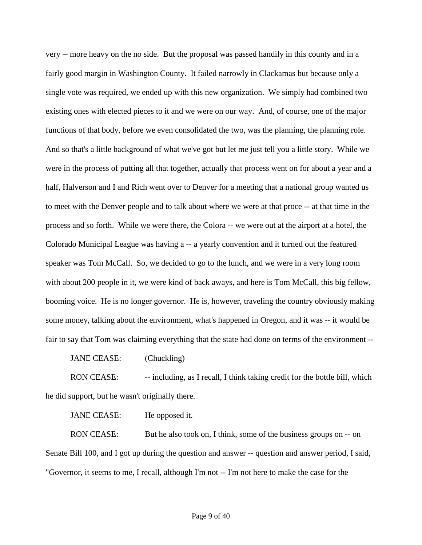very -- more heavy on the no side. But the proposal was passed handily in this county and in a fairly good margin in Washington County. It failed narrowly in Clackamas but because only a single vote was required, we ended up with this new organization. We simply had combined two existing ones with elected pieces to it and we were on our way. And, of course, one of the major functions of that body, before we even consolidated the two, was the planning, the planning role. And so that's a little background of what we've got but let me just tell you a little story. While we were in the process of putting all that together, actually that process went on for about a year and a half, Halverson and I and Rich went over to Denver for a meeting that a national group wanted us to meet with the Denver people and to talk about where we were at that proce -- at that time in the process and so forth. While we were there, the Colora -- we were out at the airport at a hotel, the Colorado Municipal League was having a -- a yearly convention and it turned out the featured speaker was Tom McCall. So, we decided to go to the lunch, and we were in a very long room with about 200 people in it, we were kind of back aways, and here is Tom McCall, this big fellow, booming voice. He is no longer governor. He is, however, traveling the country obviously making some money, talking about the environment, what's happened in Oregon, and it was -- it would be fair to say that Tom was claiming everything that the state had done on terms of the environment --

JANE CEASE: (Chuckling)

RON CEASE: -- including, as I recall, I think taking credit for the bottle bill, which he did support, but he wasn't originally there.

JANE CEASE: He opposed it.

RON CEASE: But he also took on, I think, some of the business groups on -- on Senate Bill 100, and I got up during the question and answer -- question and answer period, I said, "Governor, it seems to me, I recall, although I'm not -- I'm not here to make the case for the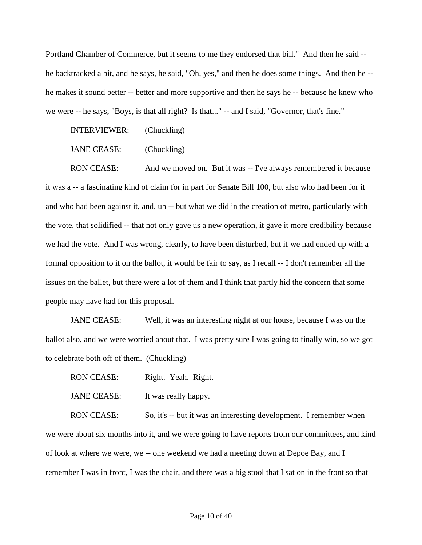Portland Chamber of Commerce, but it seems to me they endorsed that bill." And then he said - he backtracked a bit, and he says, he said, "Oh, yes," and then he does some things. And then he -he makes it sound better -- better and more supportive and then he says he -- because he knew who we were -- he says, "Boys, is that all right? Is that..." -- and I said, "Governor, that's fine."

INTERVIEWER: (Chuckling)

JANE CEASE: (Chuckling)

RON CEASE: And we moved on. But it was -- I've always remembered it because it was a -- a fascinating kind of claim for in part for Senate Bill 100, but also who had been for it and who had been against it, and, uh -- but what we did in the creation of metro, particularly with the vote, that solidified -- that not only gave us a new operation, it gave it more credibility because we had the vote. And I was wrong, clearly, to have been disturbed, but if we had ended up with a formal opposition to it on the ballot, it would be fair to say, as I recall -- I don't remember all the issues on the ballet, but there were a lot of them and I think that partly hid the concern that some people may have had for this proposal.

JANE CEASE: Well, it was an interesting night at our house, because I was on the ballot also, and we were worried about that. I was pretty sure I was going to finally win, so we got to celebrate both off of them. (Chuckling)

RON CEASE: Right. Yeah. Right.

JANE CEASE: It was really happy.

RON CEASE: So, it's -- but it was an interesting development. I remember when we were about six months into it, and we were going to have reports from our committees, and kind of look at where we were, we -- one weekend we had a meeting down at Depoe Bay, and I remember I was in front, I was the chair, and there was a big stool that I sat on in the front so that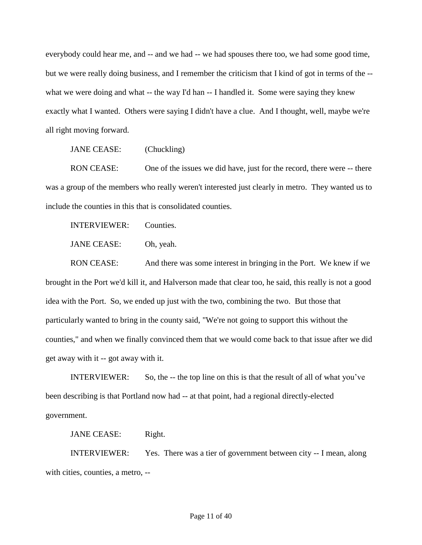everybody could hear me, and -- and we had -- we had spouses there too, we had some good time, but we were really doing business, and I remember the criticism that I kind of got in terms of the - what we were doing and what -- the way I'd han -- I handled it. Some were saying they knew exactly what I wanted. Others were saying I didn't have a clue. And I thought, well, maybe we're all right moving forward.

JANE CEASE: (Chuckling)

RON CEASE: One of the issues we did have, just for the record, there were -- there was a group of the members who really weren't interested just clearly in metro. They wanted us to include the counties in this that is consolidated counties.

INTERVIEWER: Counties.

JANE CEASE: Oh, yeah.

RON CEASE: And there was some interest in bringing in the Port. We knew if we brought in the Port we'd kill it, and Halverson made that clear too, he said, this really is not a good idea with the Port. So, we ended up just with the two, combining the two. But those that particularly wanted to bring in the county said, "We're not going to support this without the counties," and when we finally convinced them that we would come back to that issue after we did get away with it -- got away with it.

INTERVIEWER: So, the -- the top line on this is that the result of all of what you've been describing is that Portland now had -- at that point, had a regional directly-elected government.

JANE CEASE: Right.

INTERVIEWER: Yes. There was a tier of government between city -- I mean, along with cities, counties, a metro, --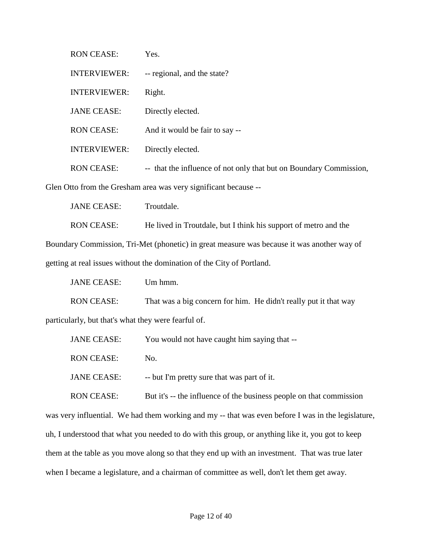RON CEASE: Yes. INTERVIEWER: -- regional, and the state? INTERVIEWER: Right. JANE CEASE: Directly elected. RON CEASE: And it would be fair to say --INTERVIEWER: Directly elected. RON CEASE: --- that the influence of not only that but on Boundary Commission, Glen Otto from the Gresham area was very significant because --

JANE CEASE: Troutdale.

RON CEASE: He lived in Troutdale, but I think his support of metro and the

Boundary Commission, Tri-Met (phonetic) in great measure was because it was another way of getting at real issues without the domination of the City of Portland.

JANE CEASE: Um hmm.

RON CEASE: That was a big concern for him. He didn't really put it that way particularly, but that's what they were fearful of.

JANE CEASE: You would not have caught him saying that --

RON CEASE: No.

JANE CEASE: -- but I'm pretty sure that was part of it.

RON CEASE: But it's -- the influence of the business people on that commission

was very influential. We had them working and my -- that was even before I was in the legislature, uh, I understood that what you needed to do with this group, or anything like it, you got to keep them at the table as you move along so that they end up with an investment. That was true later

when I became a legislature, and a chairman of committee as well, don't let them get away.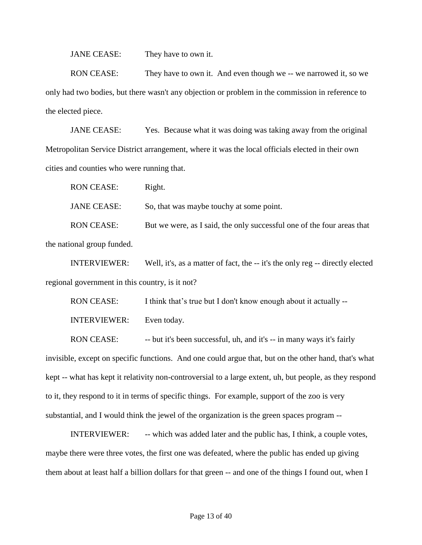JANE CEASE: They have to own it.

RON CEASE: They have to own it. And even though we -- we narrowed it, so we only had two bodies, but there wasn't any objection or problem in the commission in reference to the elected piece.

JANE CEASE: Yes. Because what it was doing was taking away from the original Metropolitan Service District arrangement, where it was the local officials elected in their own cities and counties who were running that.

| <b>RON CEASE:</b>          | Right.                                                                 |
|----------------------------|------------------------------------------------------------------------|
| <b>JANE CEASE:</b>         | So, that was maybe touchy at some point.                               |
| <b>RON CEASE:</b>          | But we were, as I said, the only successful one of the four areas that |
| the national group funded. |                                                                        |

INTERVIEWER: Well, it's, as a matter of fact, the -- it's the only reg -- directly elected regional government in this country, is it not?

RON CEASE: I think that's true but I don't know enough about it actually --

INTERVIEWER: Even today.

RON CEASE: -- but it's been successful, uh, and it's -- in many ways it's fairly invisible, except on specific functions. And one could argue that, but on the other hand, that's what kept -- what has kept it relativity non-controversial to a large extent, uh, but people, as they respond to it, they respond to it in terms of specific things. For example, support of the zoo is very substantial, and I would think the jewel of the organization is the green spaces program --

INTERVIEWER: -- which was added later and the public has, I think, a couple votes, maybe there were three votes, the first one was defeated, where the public has ended up giving them about at least half a billion dollars for that green -- and one of the things I found out, when I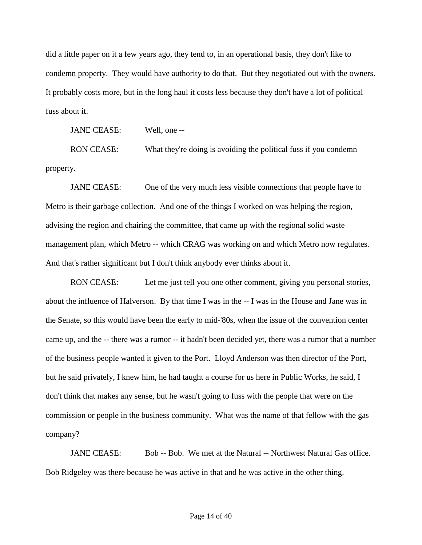did a little paper on it a few years ago, they tend to, in an operational basis, they don't like to condemn property. They would have authority to do that. But they negotiated out with the owners. It probably costs more, but in the long haul it costs less because they don't have a lot of political fuss about it.

JANE CEASE: Well, one -- RON CEASE: What they're doing is avoiding the political fuss if you condemn property.

JANE CEASE: One of the very much less visible connections that people have to Metro is their garbage collection. And one of the things I worked on was helping the region, advising the region and chairing the committee, that came up with the regional solid waste management plan, which Metro -- which CRAG was working on and which Metro now regulates. And that's rather significant but I don't think anybody ever thinks about it.

RON CEASE: Let me just tell you one other comment, giving you personal stories, about the influence of Halverson. By that time I was in the -- I was in the House and Jane was in the Senate, so this would have been the early to mid-'80s, when the issue of the convention center came up, and the -- there was a rumor -- it hadn't been decided yet, there was a rumor that a number of the business people wanted it given to the Port. Lloyd Anderson was then director of the Port, but he said privately, I knew him, he had taught a course for us here in Public Works, he said, I don't think that makes any sense, but he wasn't going to fuss with the people that were on the commission or people in the business community. What was the name of that fellow with the gas company?

JANE CEASE: Bob -- Bob. We met at the Natural -- Northwest Natural Gas office. Bob Ridgeley was there because he was active in that and he was active in the other thing.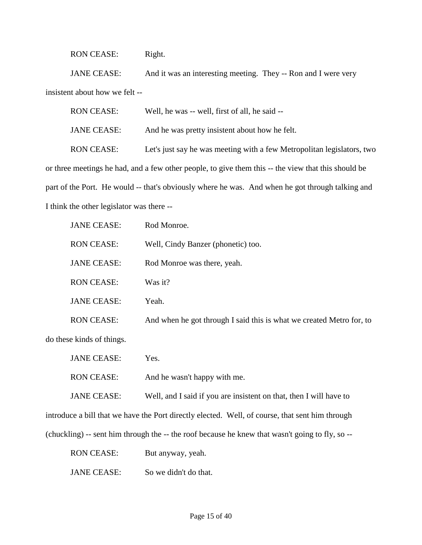RON CEASE: Right.

JANE CEASE: And it was an interesting meeting. They -- Ron and I were very insistent about how we felt --

|                                                                                                     | <b>RON CEASE:</b>  | Well, he was -- well, first of all, he said --                         |
|-----------------------------------------------------------------------------------------------------|--------------------|------------------------------------------------------------------------|
|                                                                                                     | <b>JANE CEASE:</b> | And he was pretty insistent about how he felt.                         |
|                                                                                                     | <b>RON CEASE:</b>  | Let's just say he was meeting with a few Metropolitan legislators, two |
| or three meetings he had, and a few other people, to give them this -- the view that this should be |                    |                                                                        |
| part of the Port. He would -- that's obviously where he was. And when he got through talking and    |                    |                                                                        |
| I think the other legislator was there --                                                           |                    |                                                                        |

| <b>JANE CEASE:</b>        | Rod Monroe.                                                          |
|---------------------------|----------------------------------------------------------------------|
| <b>RON CEASE:</b>         | Well, Cindy Banzer (phonetic) too.                                   |
| <b>JANE CEASE:</b>        | Rod Monroe was there, yeah.                                          |
| <b>RON CEASE:</b>         | Was it?                                                              |
| <b>JANE CEASE:</b>        | Yeah.                                                                |
| <b>RON CEASE:</b>         | And when he got through I said this is what we created Metro for, to |
| do these kinds of things. |                                                                      |

| <b>JANE CEASE:</b> | Yes.                                                                                            |
|--------------------|-------------------------------------------------------------------------------------------------|
| <b>RON CEASE:</b>  | And he wasn't happy with me.                                                                    |
| <b>JANE CEASE:</b> | Well, and I said if you are insistent on that, then I will have to                              |
|                    | introduce a bill that we have the Port directly elected. Well, of course, that sent him through |
|                    |                                                                                                 |

(chuckling) -- sent him through the -- the roof because he knew that wasn't going to fly, so --

RON CEASE: But anyway, yeah.

JANE CEASE: So we didn't do that.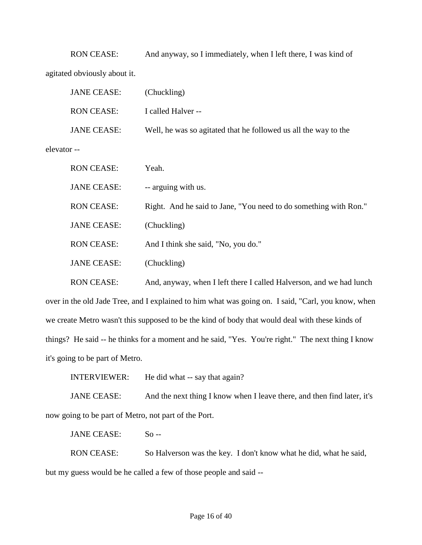RON CEASE: And anyway, so I immediately, when I left there, I was kind of agitated obviously about it.

|           | <b>JANE CEASE:</b> | (Chuckling)                                                         |
|-----------|--------------------|---------------------------------------------------------------------|
|           | <b>RON CEASE:</b>  | I called Halver --                                                  |
|           | <b>JANE CEASE:</b> | Well, he was so agitated that he followed us all the way to the     |
| elevator- |                    |                                                                     |
|           | <b>RON CEASE:</b>  | Yeah.                                                               |
|           | <b>JANE CEASE:</b> | -- arguing with us.                                                 |
|           | <b>RON CEASE:</b>  | Right. And he said to Jane, "You need to do something with Ron."    |
|           | <b>JANE CEASE:</b> | (Chuckling)                                                         |
|           | <b>RON CEASE:</b>  | And I think she said, "No, you do."                                 |
|           | <b>JANE CEASE:</b> | (Chuckling)                                                         |
|           | <b>RON CEASE:</b>  | And, anyway, when I left there I called Halverson, and we had lunch |

over in the old Jade Tree, and I explained to him what was going on. I said, "Carl, you know, when we create Metro wasn't this supposed to be the kind of body that would deal with these kinds of things? He said -- he thinks for a moment and he said, "Yes. You're right." The next thing I know it's going to be part of Metro.

INTERVIEWER: He did what -- say that again?

JANE CEASE: And the next thing I know when I leave there, and then find later, it's now going to be part of Metro, not part of the Port.

JANE CEASE: So --

RON CEASE: So Halverson was the key. I don't know what he did, what he said, but my guess would be he called a few of those people and said --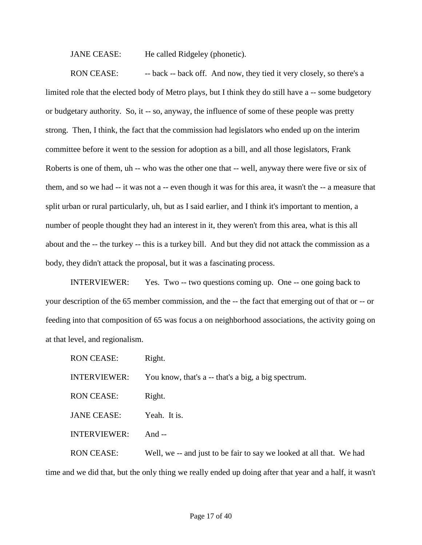JANE CEASE: He called Ridgeley (phonetic).

RON CEASE: -- back -- back off. And now, they tied it very closely, so there's a limited role that the elected body of Metro plays, but I think they do still have a -- some budgetory or budgetary authority. So, it -- so, anyway, the influence of some of these people was pretty strong. Then, I think, the fact that the commission had legislators who ended up on the interim committee before it went to the session for adoption as a bill, and all those legislators, Frank Roberts is one of them, uh -- who was the other one that -- well, anyway there were five or six of them, and so we had -- it was not a -- even though it was for this area, it wasn't the -- a measure that split urban or rural particularly, uh, but as I said earlier, and I think it's important to mention, a number of people thought they had an interest in it, they weren't from this area, what is this all about and the -- the turkey -- this is a turkey bill. And but they did not attack the commission as a body, they didn't attack the proposal, but it was a fascinating process.

INTERVIEWER: Yes. Two -- two questions coming up. One -- one going back to your description of the 65 member commission, and the -- the fact that emerging out of that or -- or feeding into that composition of 65 was focus a on neighborhood associations, the activity going on at that level, and regionalism.

RON CEASE: Right. INTERVIEWER: You know, that's a -- that's a big, a big spectrum. RON CEASE: Right. JANE CEASE: Yeah. It is. INTERVIEWER: And -- RON CEASE: Well, we -- and just to be fair to say we looked at all that. We had

time and we did that, but the only thing we really ended up doing after that year and a half, it wasn't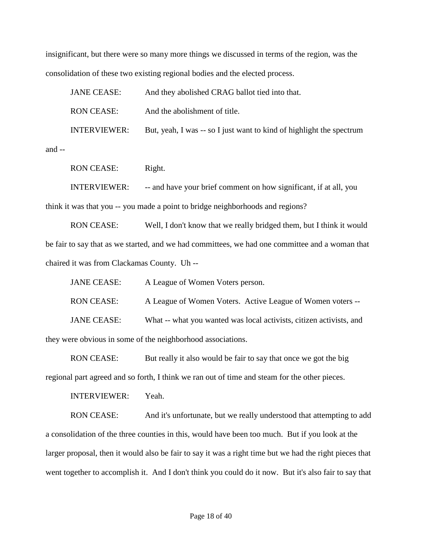insignificant, but there were so many more things we discussed in terms of the region, was the consolidation of these two existing regional bodies and the elected process.

| JANE CEASE:  | And they abolished CRAG ballot tied into that.                       |
|--------------|----------------------------------------------------------------------|
| RON CEASE:   | And the abolishment of title.                                        |
| INTERVIEWER: | But, yeah, I was -- so I just want to kind of highlight the spectrum |
|              |                                                                      |

RON CEASE: Right.

and --

INTERVIEWER: -- and have your brief comment on how significant, if at all, you think it was that you -- you made a point to bridge neighborhoods and regions?

RON CEASE: Well, I don't know that we really bridged them, but I think it would be fair to say that as we started, and we had committees, we had one committee and a woman that chaired it was from Clackamas County. Uh --

JANE CEASE: A League of Women Voters person.

RON CEASE: A League of Women Voters. Active League of Women voters --

JANE CEASE: What -- what you wanted was local activists, citizen activists, and they were obvious in some of the neighborhood associations.

RON CEASE: But really it also would be fair to say that once we got the big regional part agreed and so forth, I think we ran out of time and steam for the other pieces.

INTERVIEWER: Yeah.

RON CEASE: And it's unfortunate, but we really understood that attempting to add a consolidation of the three counties in this, would have been too much. But if you look at the larger proposal, then it would also be fair to say it was a right time but we had the right pieces that went together to accomplish it. And I don't think you could do it now. But it's also fair to say that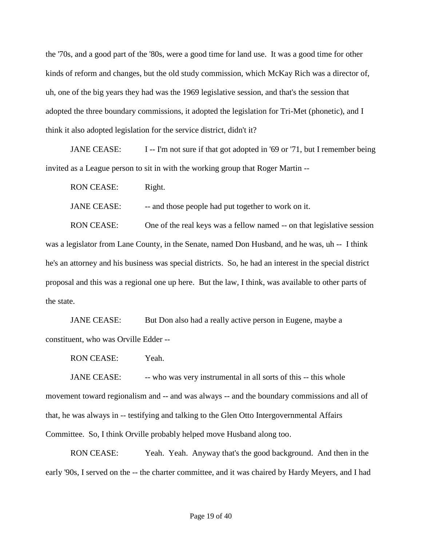the '70s, and a good part of the '80s, were a good time for land use. It was a good time for other kinds of reform and changes, but the old study commission, which McKay Rich was a director of, uh, one of the big years they had was the 1969 legislative session, and that's the session that adopted the three boundary commissions, it adopted the legislation for Tri-Met (phonetic), and I think it also adopted legislation for the service district, didn't it?

JANE CEASE: I -- I'm not sure if that got adopted in '69 or '71, but I remember being invited as a League person to sit in with the working group that Roger Martin --

RON CEASE: Right.

JANE CEASE: -- and those people had put together to work on it.

RON CEASE: One of the real keys was a fellow named -- on that legislative session was a legislator from Lane County, in the Senate, named Don Husband, and he was, uh -- I think he's an attorney and his business was special districts. So, he had an interest in the special district proposal and this was a regional one up here. But the law, I think, was available to other parts of the state.

JANE CEASE: But Don also had a really active person in Eugene, maybe a constituent, who was Orville Edder --

RON CEASE: Yeah.

JANE CEASE: -- who was very instrumental in all sorts of this -- this whole movement toward regionalism and -- and was always -- and the boundary commissions and all of that, he was always in -- testifying and talking to the Glen Otto Intergovernmental Affairs Committee. So, I think Orville probably helped move Husband along too.

RON CEASE: Yeah. Yeah. Anyway that's the good background. And then in the early '90s, I served on the -- the charter committee, and it was chaired by Hardy Meyers, and I had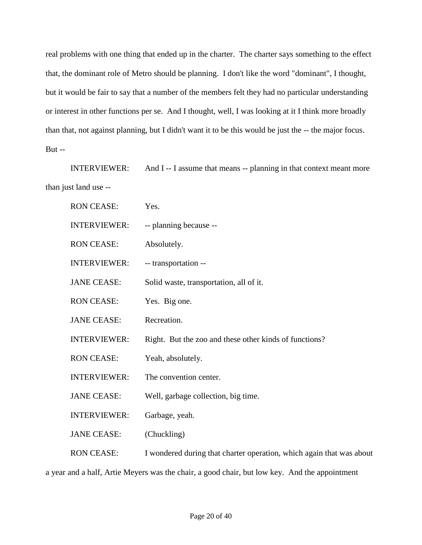real problems with one thing that ended up in the charter. The charter says something to the effect that, the dominant role of Metro should be planning. I don't like the word "dominant", I thought, but it would be fair to say that a number of the members felt they had no particular understanding or interest in other functions per se. And I thought, well, I was looking at it I think more broadly than that, not against planning, but I didn't want it to be this would be just the -- the major focus.  $But -$ 

INTERVIEWER: And I -- I assume that means -- planning in that context meant more than just land use --

| <b>RON CEASE:</b>   | Yes.                                                                 |
|---------------------|----------------------------------------------------------------------|
| <b>INTERVIEWER:</b> | -- planning because --                                               |
| <b>RON CEASE:</b>   | Absolutely.                                                          |
| <b>INTERVIEWER:</b> | -- transportation --                                                 |
| <b>JANE CEASE:</b>  | Solid waste, transportation, all of it.                              |
| <b>RON CEASE:</b>   | Yes. Big one.                                                        |
| <b>JANE CEASE:</b>  | Recreation.                                                          |
| <b>INTERVIEWER:</b> | Right. But the zoo and these other kinds of functions?               |
| <b>RON CEASE:</b>   | Yeah, absolutely.                                                    |
| <b>INTERVIEWER:</b> | The convention center.                                               |
| <b>JANE CEASE:</b>  | Well, garbage collection, big time.                                  |
| <b>INTERVIEWER:</b> | Garbage, yeah.                                                       |
| <b>JANE CEASE:</b>  | (Chuckling)                                                          |
| <b>RON CEASE:</b>   | I wondered during that charter operation, which again that was about |
|                     |                                                                      |

a year and a half, Artie Meyers was the chair, a good chair, but low key. And the appointment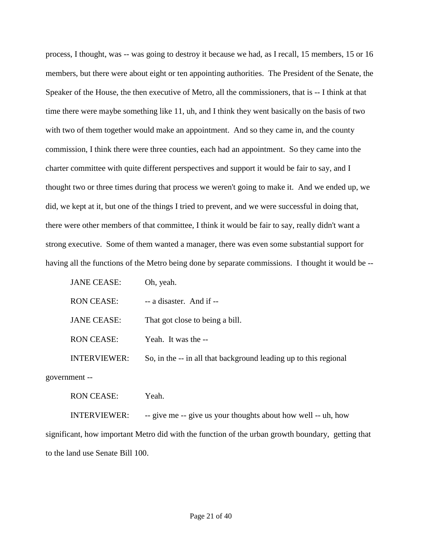process, I thought, was -- was going to destroy it because we had, as I recall, 15 members, 15 or 16 members, but there were about eight or ten appointing authorities. The President of the Senate, the Speaker of the House, the then executive of Metro, all the commissioners, that is -- I think at that time there were maybe something like 11, uh, and I think they went basically on the basis of two with two of them together would make an appointment. And so they came in, and the county commission, I think there were three counties, each had an appointment. So they came into the charter committee with quite different perspectives and support it would be fair to say, and I thought two or three times during that process we weren't going to make it. And we ended up, we did, we kept at it, but one of the things I tried to prevent, and we were successful in doing that, there were other members of that committee, I think it would be fair to say, really didn't want a strong executive. Some of them wanted a manager, there was even some substantial support for having all the functions of the Metro being done by separate commissions. I thought it would be --

| <b>JANE CEASE:</b>  | Oh, yeah.                                                        |
|---------------------|------------------------------------------------------------------|
| <b>RON CEASE:</b>   | $-$ a disaster. And if $-$                                       |
| <b>JANE CEASE:</b>  | That got close to being a bill.                                  |
| <b>RON CEASE:</b>   | Yeah. It was the --                                              |
| <b>INTERVIEWER:</b> | So, in the -- in all that background leading up to this regional |
|                     |                                                                  |

government --

RON CEASE: Yeah.

INTERVIEWER: -- give me -- give us your thoughts about how well -- uh, how significant, how important Metro did with the function of the urban growth boundary, getting that to the land use Senate Bill 100.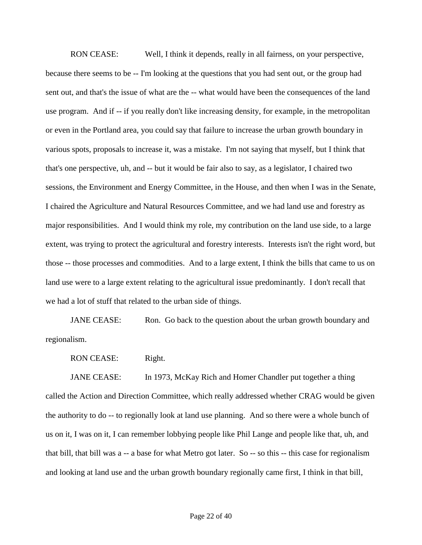RON CEASE: Well, I think it depends, really in all fairness, on your perspective, because there seems to be -- I'm looking at the questions that you had sent out, or the group had sent out, and that's the issue of what are the -- what would have been the consequences of the land use program. And if -- if you really don't like increasing density, for example, in the metropolitan or even in the Portland area, you could say that failure to increase the urban growth boundary in various spots, proposals to increase it, was a mistake. I'm not saying that myself, but I think that that's one perspective, uh, and -- but it would be fair also to say, as a legislator, I chaired two sessions, the Environment and Energy Committee, in the House, and then when I was in the Senate, I chaired the Agriculture and Natural Resources Committee, and we had land use and forestry as major responsibilities. And I would think my role, my contribution on the land use side, to a large extent, was trying to protect the agricultural and forestry interests. Interests isn't the right word, but those -- those processes and commodities. And to a large extent, I think the bills that came to us on land use were to a large extent relating to the agricultural issue predominantly. I don't recall that we had a lot of stuff that related to the urban side of things.

JANE CEASE: Ron. Go back to the question about the urban growth boundary and regionalism.

RON CEASE: Right.

JANE CEASE: In 1973, McKay Rich and Homer Chandler put together a thing called the Action and Direction Committee, which really addressed whether CRAG would be given the authority to do -- to regionally look at land use planning. And so there were a whole bunch of us on it, I was on it, I can remember lobbying people like Phil Lange and people like that, uh, and that bill, that bill was a -- a base for what Metro got later. So -- so this -- this case for regionalism and looking at land use and the urban growth boundary regionally came first, I think in that bill,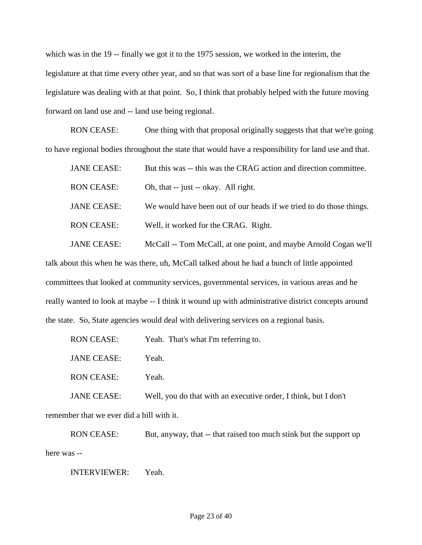which was in the 19 -- finally we got it to the 1975 session, we worked in the interim, the legislature at that time every other year, and so that was sort of a base line for regionalism that the legislature was dealing with at that point. So, I think that probably helped with the future moving forward on land use and -- land use being regional.

RON CEASE: One thing with that proposal originally suggests that that we're going to have regional bodies throughout the state that would have a responsibility for land use and that.

| <b>JANE CEASE:</b> | But this was -- this was the CRAG action and direction committee.   |
|--------------------|---------------------------------------------------------------------|
| <b>RON CEASE:</b>  | Oh, that -- just -- okay. All right.                                |
| <b>JANE CEASE:</b> | We would have been out of our heads if we tried to do those things. |
| <b>RON CEASE:</b>  | Well, it worked for the CRAG. Right.                                |
| <b>JANE CEASE:</b> | McCall -- Tom McCall, at one point, and maybe Arnold Cogan we'll    |

talk about this when he was there, uh, McCall talked about he had a bunch of little appointed committees that looked at community services, governmental services, in various areas and he really wanted to look at maybe -- I think it wound up with administrative district concepts around the state. So, State agencies would deal with delivering services on a regional basis.

RON CEASE: Yeah. That's what I'm referring to. JANE CEASE: Yeah. RON CEASE: Yeah. JANE CEASE: Well, you do that with an executive order, I think, but I don't remember that we ever did a bill with it.

RON CEASE: But, anyway, that -- that raised too much stink but the support up here was --

INTERVIEWER: Yeah.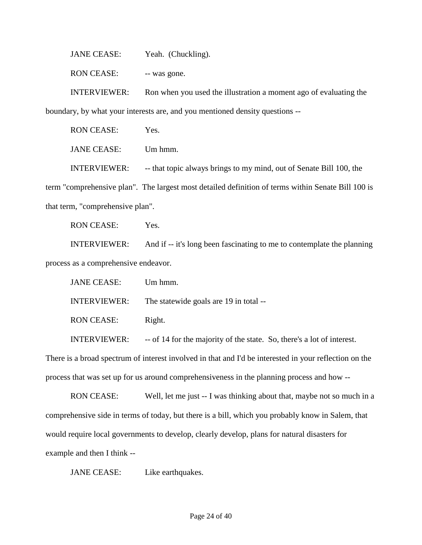JANE CEASE: Yeah. (Chuckling).

RON CEASE: -- was gone.

INTERVIEWER: Ron when you used the illustration a moment ago of evaluating the boundary, by what your interests are, and you mentioned density questions --

RON CEASE: Yes.

JANE CEASE: Um hmm.

INTERVIEWER: -- that topic always brings to my mind, out of Senate Bill 100, the term "comprehensive plan". The largest most detailed definition of terms within Senate Bill 100 is that term, "comprehensive plan".

RON CEASE: Yes.

INTERVIEWER: And if -- it's long been fascinating to me to contemplate the planning process as a comprehensive endeavor.

JANE CEASE: Um hmm. INTERVIEWER: The statewide goals are 19 in total -- RON CEASE: Right. INTERVIEWER: -- of 14 for the majority of the state. So, there's a lot of interest.

There is a broad spectrum of interest involved in that and I'd be interested in your reflection on the process that was set up for us around comprehensiveness in the planning process and how --

RON CEASE: Well, let me just -- I was thinking about that, maybe not so much in a comprehensive side in terms of today, but there is a bill, which you probably know in Salem, that would require local governments to develop, clearly develop, plans for natural disasters for example and then I think --

JANE CEASE: Like earthquakes.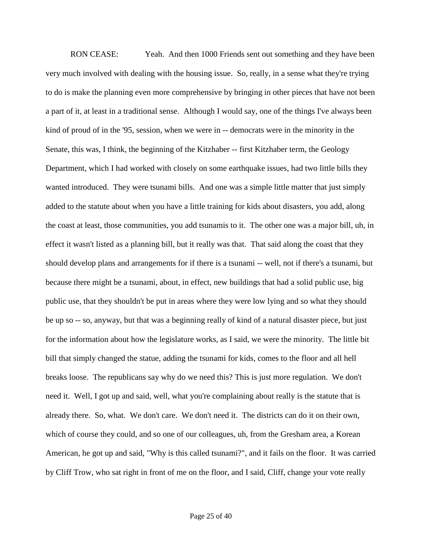RON CEASE: Yeah. And then 1000 Friends sent out something and they have been very much involved with dealing with the housing issue. So, really, in a sense what they're trying to do is make the planning even more comprehensive by bringing in other pieces that have not been a part of it, at least in a traditional sense. Although I would say, one of the things I've always been kind of proud of in the '95, session, when we were in -- democrats were in the minority in the Senate, this was, I think, the beginning of the Kitzhaber -- first Kitzhaber term, the Geology Department, which I had worked with closely on some earthquake issues, had two little bills they wanted introduced. They were tsunami bills. And one was a simple little matter that just simply added to the statute about when you have a little training for kids about disasters, you add, along the coast at least, those communities, you add tsunamis to it. The other one was a major bill, uh, in effect it wasn't listed as a planning bill, but it really was that. That said along the coast that they should develop plans and arrangements for if there is a tsunami -- well, not if there's a tsunami, but because there might be a tsunami, about, in effect, new buildings that had a solid public use, big public use, that they shouldn't be put in areas where they were low lying and so what they should be up so -- so, anyway, but that was a beginning really of kind of a natural disaster piece, but just for the information about how the legislature works, as I said, we were the minority. The little bit bill that simply changed the statue, adding the tsunami for kids, comes to the floor and all hell breaks loose. The republicans say why do we need this? This is just more regulation. We don't need it. Well, I got up and said, well, what you're complaining about really is the statute that is already there. So, what. We don't care. We don't need it. The districts can do it on their own, which of course they could, and so one of our colleagues, uh, from the Gresham area, a Korean American, he got up and said, "Why is this called tsunami?", and it fails on the floor. It was carried by Cliff Trow, who sat right in front of me on the floor, and I said, Cliff, change your vote really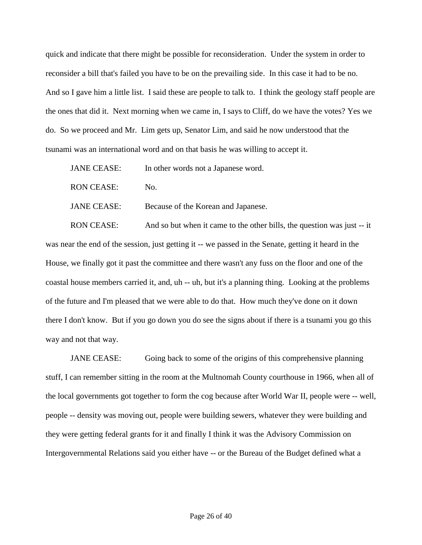quick and indicate that there might be possible for reconsideration. Under the system in order to reconsider a bill that's failed you have to be on the prevailing side. In this case it had to be no. And so I gave him a little list. I said these are people to talk to. I think the geology staff people are the ones that did it. Next morning when we came in, I says to Cliff, do we have the votes? Yes we do. So we proceed and Mr. Lim gets up, Senator Lim, and said he now understood that the tsunami was an international word and on that basis he was willing to accept it.

JANE CEASE: In other words not a Japanese word. RON CEASE: No. JANE CEASE: Because of the Korean and Japanese.

RON CEASE: And so but when it came to the other bills, the question was just -- it was near the end of the session, just getting it -- we passed in the Senate, getting it heard in the House, we finally got it past the committee and there wasn't any fuss on the floor and one of the coastal house members carried it, and, uh -- uh, but it's a planning thing. Looking at the problems of the future and I'm pleased that we were able to do that. How much they've done on it down there I don't know. But if you go down you do see the signs about if there is a tsunami you go this way and not that way.

JANE CEASE: Going back to some of the origins of this comprehensive planning stuff, I can remember sitting in the room at the Multnomah County courthouse in 1966, when all of the local governments got together to form the cog because after World War II, people were -- well, people -- density was moving out, people were building sewers, whatever they were building and they were getting federal grants for it and finally I think it was the Advisory Commission on Intergovernmental Relations said you either have -- or the Bureau of the Budget defined what a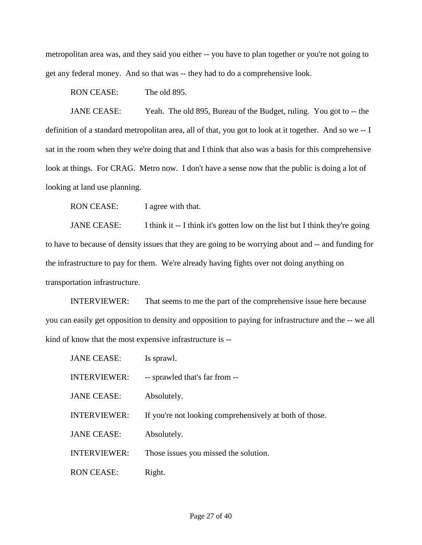metropolitan area was, and they said you either -- you have to plan together or you're not going to get any federal money. And so that was -- they had to do a comprehensive look.

RON CEASE: The old 895.

JANE CEASE: Yeah. The old 895, Bureau of the Budget, ruling. You got to -- the definition of a standard metropolitan area, all of that, you got to look at it together. And so we -- I sat in the room when they we're doing that and I think that also was a basis for this comprehensive look at things. For CRAG. Metro now. I don't have a sense now that the public is doing a lot of looking at land use planning.

RON CEASE: I agree with that.

JANE CEASE: I think it -- I think it's gotten low on the list but I think they're going to have to because of density issues that they are going to be worrying about and -- and funding for the infrastructure to pay for them. We're already having fights over not doing anything on transportation infrastructure.

INTERVIEWER: That seems to me the part of the comprehensive issue here because you can easily get opposition to density and opposition to paying for infrastructure and the -- we all kind of know that the most expensive infrastructure is --

| <b>JANE CEASE:</b>  | Is sprawl.                                              |
|---------------------|---------------------------------------------------------|
| <b>INTERVIEWER:</b> | -- sprawled that's far from --                          |
| <b>JANE CEASE:</b>  | Absolutely.                                             |
| <b>INTERVIEWER:</b> | If you're not looking comprehensively at both of those. |
| <b>JANE CEASE:</b>  | Absolutely.                                             |
| <b>INTERVIEWER:</b> | Those issues you missed the solution.                   |
| <b>RON CEASE:</b>   | Right.                                                  |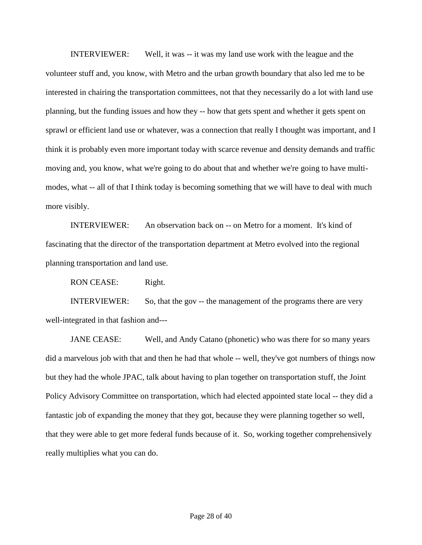INTERVIEWER: Well, it was -- it was my land use work with the league and the volunteer stuff and, you know, with Metro and the urban growth boundary that also led me to be interested in chairing the transportation committees, not that they necessarily do a lot with land use planning, but the funding issues and how they -- how that gets spent and whether it gets spent on sprawl or efficient land use or whatever, was a connection that really I thought was important, and I think it is probably even more important today with scarce revenue and density demands and traffic moving and, you know, what we're going to do about that and whether we're going to have multimodes, what -- all of that I think today is becoming something that we will have to deal with much more visibly.

INTERVIEWER: An observation back on -- on Metro for a moment. It's kind of fascinating that the director of the transportation department at Metro evolved into the regional planning transportation and land use.

RON CEASE: Right.

INTERVIEWER: So, that the gov -- the management of the programs there are very well-integrated in that fashion and---

JANE CEASE: Well, and Andy Catano (phonetic) who was there for so many years did a marvelous job with that and then he had that whole -- well, they've got numbers of things now but they had the whole JPAC, talk about having to plan together on transportation stuff, the Joint Policy Advisory Committee on transportation, which had elected appointed state local -- they did a fantastic job of expanding the money that they got, because they were planning together so well, that they were able to get more federal funds because of it. So, working together comprehensively really multiplies what you can do.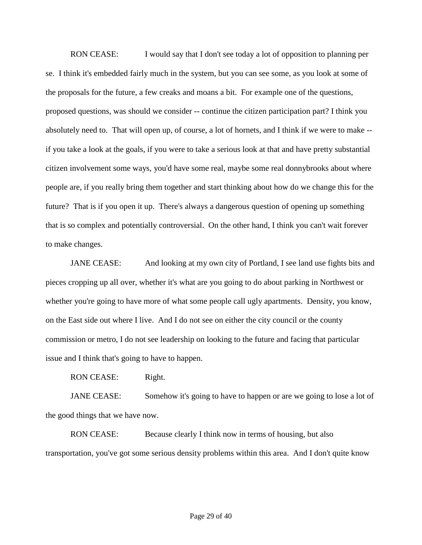RON CEASE: I would say that I don't see today a lot of opposition to planning per se. I think it's embedded fairly much in the system, but you can see some, as you look at some of the proposals for the future, a few creaks and moans a bit. For example one of the questions, proposed questions, was should we consider -- continue the citizen participation part? I think you absolutely need to. That will open up, of course, a lot of hornets, and I think if we were to make - if you take a look at the goals, if you were to take a serious look at that and have pretty substantial citizen involvement some ways, you'd have some real, maybe some real donnybrooks about where people are, if you really bring them together and start thinking about how do we change this for the future? That is if you open it up. There's always a dangerous question of opening up something that is so complex and potentially controversial. On the other hand, I think you can't wait forever to make changes.

JANE CEASE: And looking at my own city of Portland, I see land use fights bits and pieces cropping up all over, whether it's what are you going to do about parking in Northwest or whether you're going to have more of what some people call ugly apartments. Density, you know, on the East side out where I live. And I do not see on either the city council or the county commission or metro, I do not see leadership on looking to the future and facing that particular issue and I think that's going to have to happen.

RON CEASE: Right.

JANE CEASE: Somehow it's going to have to happen or are we going to lose a lot of the good things that we have now.

RON CEASE: Because clearly I think now in terms of housing, but also transportation, you've got some serious density problems within this area. And I don't quite know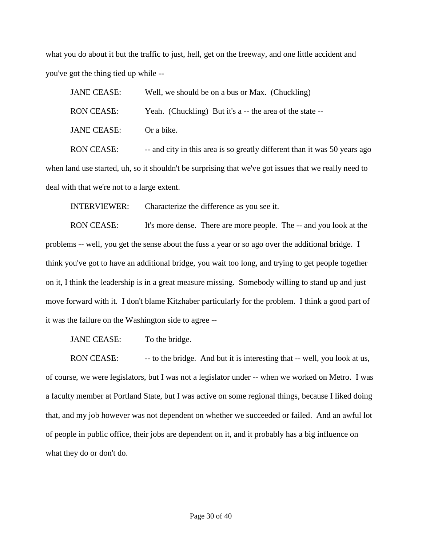what you do about it but the traffic to just, hell, get on the freeway, and one little accident and you've got the thing tied up while --

|                                                                                                       | <b>JANE CEASE:</b> | Well, we should be on a bus or Max. (Chuckling)                           |
|-------------------------------------------------------------------------------------------------------|--------------------|---------------------------------------------------------------------------|
|                                                                                                       | <b>RON CEASE:</b>  | Yeah. (Chuckling) But it's a -- the area of the state --                  |
|                                                                                                       | <b>JANE CEASE:</b> | Or a bike.                                                                |
|                                                                                                       | <b>RON CEASE:</b>  | -- and city in this area is so greatly different than it was 50 years ago |
| when land use started, uh, so it shouldn't be surprising that we've got issues that we really need to |                    |                                                                           |

deal with that we're not to a large extent.

INTERVIEWER: Characterize the difference as you see it.

RON CEASE: It's more dense. There are more people. The -- and you look at the problems -- well, you get the sense about the fuss a year or so ago over the additional bridge. I think you've got to have an additional bridge, you wait too long, and trying to get people together on it, I think the leadership is in a great measure missing. Somebody willing to stand up and just move forward with it. I don't blame Kitzhaber particularly for the problem. I think a good part of it was the failure on the Washington side to agree --

JANE CEASE: To the bridge.

RON CEASE: -- to the bridge. And but it is interesting that -- well, you look at us, of course, we were legislators, but I was not a legislator under -- when we worked on Metro. I was a faculty member at Portland State, but I was active on some regional things, because I liked doing that, and my job however was not dependent on whether we succeeded or failed. And an awful lot of people in public office, their jobs are dependent on it, and it probably has a big influence on what they do or don't do.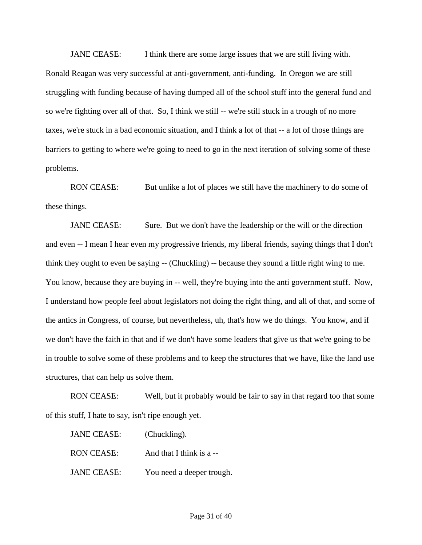JANE CEASE: I think there are some large issues that we are still living with. Ronald Reagan was very successful at anti-government, anti-funding. In Oregon we are still struggling with funding because of having dumped all of the school stuff into the general fund and so we're fighting over all of that. So, I think we still -- we're still stuck in a trough of no more taxes, we're stuck in a bad economic situation, and I think a lot of that -- a lot of those things are barriers to getting to where we're going to need to go in the next iteration of solving some of these problems.

RON CEASE: But unlike a lot of places we still have the machinery to do some of these things.

JANE CEASE: Sure. But we don't have the leadership or the will or the direction and even -- I mean I hear even my progressive friends, my liberal friends, saying things that I don't think they ought to even be saying -- (Chuckling) -- because they sound a little right wing to me. You know, because they are buying in -- well, they're buying into the anti government stuff. Now, I understand how people feel about legislators not doing the right thing, and all of that, and some of the antics in Congress, of course, but nevertheless, uh, that's how we do things. You know, and if we don't have the faith in that and if we don't have some leaders that give us that we're going to be in trouble to solve some of these problems and to keep the structures that we have, like the land use structures, that can help us solve them.

RON CEASE: Well, but it probably would be fair to say in that regard too that some of this stuff, I hate to say, isn't ripe enough yet.

| <b>JANE CEASE:</b> | (Chuckling).              |
|--------------------|---------------------------|
| <b>RON CEASE:</b>  | And that I think is a $-$ |
| JANE CEASE:        | You need a deeper trough. |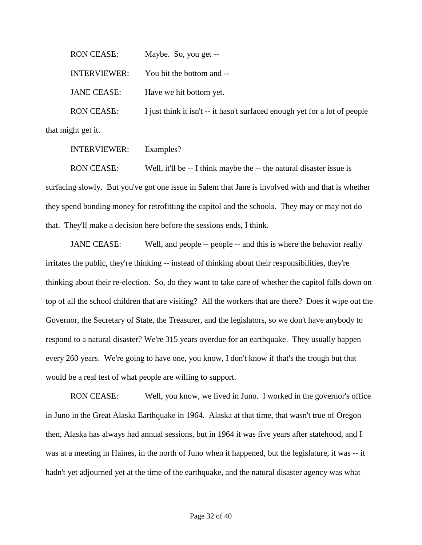| <b>RON CEASE:</b>  | Maybe. So, you get --                                                      |
|--------------------|----------------------------------------------------------------------------|
| INTERVIEWER:       | You hit the bottom and --                                                  |
| <b>JANE CEASE:</b> | Have we hit bottom yet.                                                    |
| <b>RON CEASE:</b>  | I just think it isn't -- it hasn't surfaced enough yet for a lot of people |
|                    |                                                                            |

that might get it.

INTERVIEWER: Examples?

RON CEASE: Well, it'll be -- I think maybe the -- the natural disaster issue is surfacing slowly. But you've got one issue in Salem that Jane is involved with and that is whether they spend bonding money for retrofitting the capitol and the schools. They may or may not do that. They'll make a decision here before the sessions ends, I think.

JANE CEASE: Well, and people -- people -- and this is where the behavior really irritates the public, they're thinking -- instead of thinking about their responsibilities, they're thinking about their re-election. So, do they want to take care of whether the capitol falls down on top of all the school children that are visiting? All the workers that are there? Does it wipe out the Governor, the Secretary of State, the Treasurer, and the legislators, so we don't have anybody to respond to a natural disaster? We're 315 years overdue for an earthquake. They usually happen every 260 years. We're going to have one, you know, I don't know if that's the trough but that would be a real test of what people are willing to support.

RON CEASE: Well, you know, we lived in Juno. I worked in the governor's office in Juno in the Great Alaska Earthquake in 1964. Alaska at that time, that wasn't true of Oregon then, Alaska has always had annual sessions, but in 1964 it was five years after statehood, and I was at a meeting in Haines, in the north of Juno when it happened, but the legislature, it was -- it hadn't yet adjourned yet at the time of the earthquake, and the natural disaster agency was what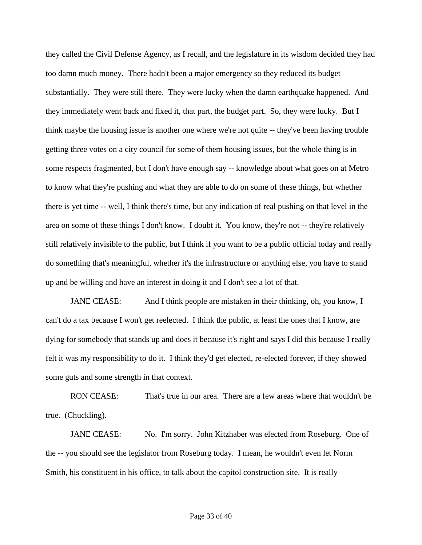they called the Civil Defense Agency, as I recall, and the legislature in its wisdom decided they had too damn much money. There hadn't been a major emergency so they reduced its budget substantially. They were still there. They were lucky when the damn earthquake happened. And they immediately went back and fixed it, that part, the budget part. So, they were lucky. But I think maybe the housing issue is another one where we're not quite -- they've been having trouble getting three votes on a city council for some of them housing issues, but the whole thing is in some respects fragmented, but I don't have enough say -- knowledge about what goes on at Metro to know what they're pushing and what they are able to do on some of these things, but whether there is yet time -- well, I think there's time, but any indication of real pushing on that level in the area on some of these things I don't know. I doubt it. You know, they're not -- they're relatively still relatively invisible to the public, but I think if you want to be a public official today and really do something that's meaningful, whether it's the infrastructure or anything else, you have to stand up and be willing and have an interest in doing it and I don't see a lot of that.

JANE CEASE: And I think people are mistaken in their thinking, oh, you know, I can't do a tax because I won't get reelected. I think the public, at least the ones that I know, are dying for somebody that stands up and does it because it's right and says I did this because I really felt it was my responsibility to do it. I think they'd get elected, re-elected forever, if they showed some guts and some strength in that context.

RON CEASE: That's true in our area. There are a few areas where that wouldn't be true. (Chuckling).

JANE CEASE: No. I'm sorry. John Kitzhaber was elected from Roseburg. One of the -- you should see the legislator from Roseburg today. I mean, he wouldn't even let Norm Smith, his constituent in his office, to talk about the capitol construction site. It is really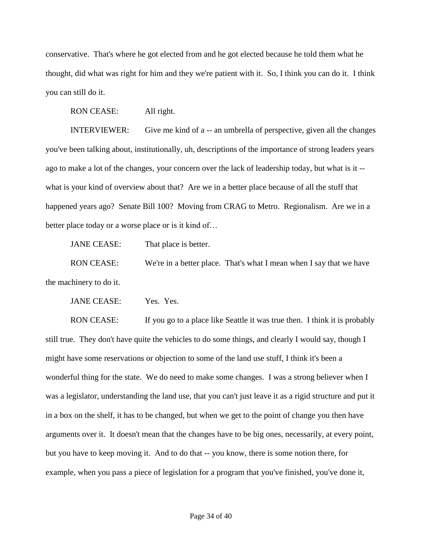conservative. That's where he got elected from and he got elected because he told them what he thought, did what was right for him and they we're patient with it. So, I think you can do it. I think you can still do it.

RON CEASE: All right.

INTERVIEWER: Give me kind of a -- an umbrella of perspective, given all the changes you've been talking about, institutionally, uh, descriptions of the importance of strong leaders years ago to make a lot of the changes, your concern over the lack of leadership today, but what is it - what is your kind of overview about that? Are we in a better place because of all the stuff that happened years ago? Senate Bill 100? Moving from CRAG to Metro. Regionalism. Are we in a better place today or a worse place or is it kind of…

JANE CEASE: That place is better. RON CEASE: We're in a better place. That's what I mean when I say that we have the machinery to do it.

JANE CEASE: Yes. Yes.

RON CEASE: If you go to a place like Seattle it was true then. I think it is probably still true. They don't have quite the vehicles to do some things, and clearly I would say, though I might have some reservations or objection to some of the land use stuff, I think it's been a wonderful thing for the state. We do need to make some changes. I was a strong believer when I was a legislator, understanding the land use, that you can't just leave it as a rigid structure and put it in a box on the shelf, it has to be changed, but when we get to the point of change you then have arguments over it. It doesn't mean that the changes have to be big ones, necessarily, at every point, but you have to keep moving it. And to do that -- you know, there is some notion there, for example, when you pass a piece of legislation for a program that you've finished, you've done it,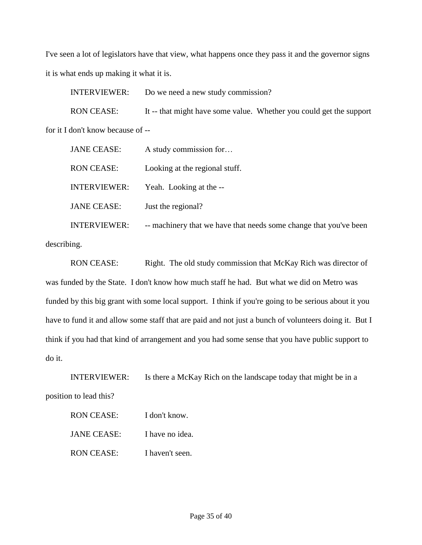I've seen a lot of legislators have that view, what happens once they pass it and the governor signs it is what ends up making it what it is.

| INTERVIEWER:                      | Do we need a new study commission?                                  |  |
|-----------------------------------|---------------------------------------------------------------------|--|
| RON CEASE:                        | It -- that might have some value. Whether you could get the support |  |
| for it I don't know because of -- |                                                                     |  |

| <b>JANE CEASE:</b>  | A study commission for                                            |
|---------------------|-------------------------------------------------------------------|
| <b>RON CEASE:</b>   | Looking at the regional stuff.                                    |
| <b>INTERVIEWER:</b> | Yeah. Looking at the --                                           |
| <b>JANE CEASE:</b>  | Just the regional?                                                |
| <b>INTERVIEWER:</b> | -- machinery that we have that needs some change that you've been |
|                     |                                                                   |

describing.

RON CEASE: Right. The old study commission that McKay Rich was director of was funded by the State. I don't know how much staff he had. But what we did on Metro was funded by this big grant with some local support. I think if you're going to be serious about it you have to fund it and allow some staff that are paid and not just a bunch of volunteers doing it. But I think if you had that kind of arrangement and you had some sense that you have public support to do it.

INTERVIEWER: Is there a McKay Rich on the landscape today that might be in a position to lead this?

| <b>RON CEASE:</b>  | I don't know.   |
|--------------------|-----------------|
| <b>JANE CEASE:</b> | I have no idea. |
| <b>RON CEASE:</b>  | I haven't seen. |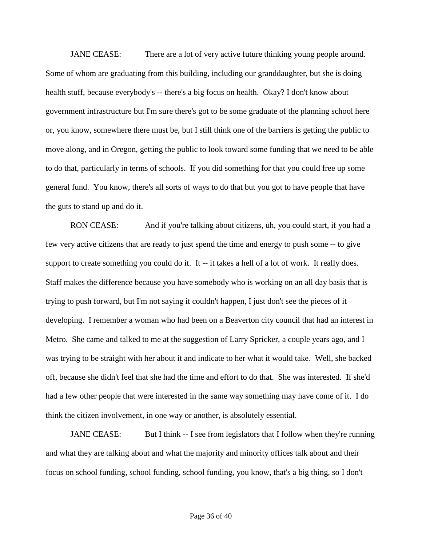JANE CEASE: There are a lot of very active future thinking young people around. Some of whom are graduating from this building, including our granddaughter, but she is doing health stuff, because everybody's -- there's a big focus on health. Okay? I don't know about government infrastructure but I'm sure there's got to be some graduate of the planning school here or, you know, somewhere there must be, but I still think one of the barriers is getting the public to move along, and in Oregon, getting the public to look toward some funding that we need to be able to do that, particularly in terms of schools. If you did something for that you could free up some general fund. You know, there's all sorts of ways to do that but you got to have people that have the guts to stand up and do it.

RON CEASE: And if you're talking about citizens, uh, you could start, if you had a few very active citizens that are ready to just spend the time and energy to push some -- to give support to create something you could do it. It -- it takes a hell of a lot of work. It really does. Staff makes the difference because you have somebody who is working on an all day basis that is trying to push forward, but I'm not saying it couldn't happen, I just don't see the pieces of it developing. I remember a woman who had been on a Beaverton city council that had an interest in Metro. She came and talked to me at the suggestion of Larry Spricker, a couple years ago, and I was trying to be straight with her about it and indicate to her what it would take. Well, she backed off, because she didn't feel that she had the time and effort to do that. She was interested. If she'd had a few other people that were interested in the same way something may have come of it. I do think the citizen involvement, in one way or another, is absolutely essential.

JANE CEASE: But I think -- I see from legislators that I follow when they're running and what they are talking about and what the majority and minority offices talk about and their focus on school funding, school funding, school funding, you know, that's a big thing, so I don't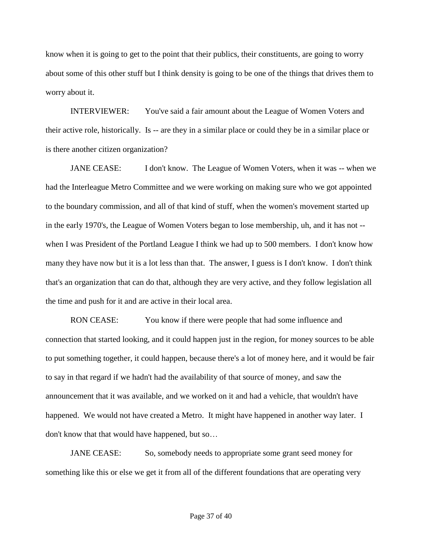know when it is going to get to the point that their publics, their constituents, are going to worry about some of this other stuff but I think density is going to be one of the things that drives them to worry about it.

INTERVIEWER: You've said a fair amount about the League of Women Voters and their active role, historically. Is -- are they in a similar place or could they be in a similar place or is there another citizen organization?

JANE CEASE: I don't know. The League of Women Voters, when it was -- when we had the Interleague Metro Committee and we were working on making sure who we got appointed to the boundary commission, and all of that kind of stuff, when the women's movement started up in the early 1970's, the League of Women Voters began to lose membership, uh, and it has not - when I was President of the Portland League I think we had up to 500 members. I don't know how many they have now but it is a lot less than that. The answer, I guess is I don't know. I don't think that's an organization that can do that, although they are very active, and they follow legislation all the time and push for it and are active in their local area.

RON CEASE: You know if there were people that had some influence and connection that started looking, and it could happen just in the region, for money sources to be able to put something together, it could happen, because there's a lot of money here, and it would be fair to say in that regard if we hadn't had the availability of that source of money, and saw the announcement that it was available, and we worked on it and had a vehicle, that wouldn't have happened. We would not have created a Metro. It might have happened in another way later. I don't know that that would have happened, but so…

JANE CEASE: So, somebody needs to appropriate some grant seed money for something like this or else we get it from all of the different foundations that are operating very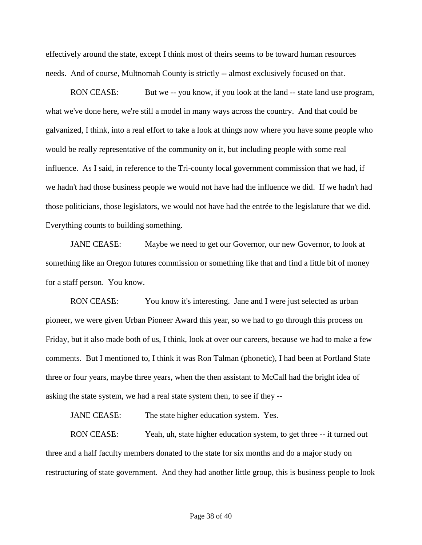effectively around the state, except I think most of theirs seems to be toward human resources needs. And of course, Multnomah County is strictly -- almost exclusively focused on that.

RON CEASE: But we -- you know, if you look at the land -- state land use program, what we've done here, we're still a model in many ways across the country. And that could be galvanized, I think, into a real effort to take a look at things now where you have some people who would be really representative of the community on it, but including people with some real influence. As I said, in reference to the Tri-county local government commission that we had, if we hadn't had those business people we would not have had the influence we did. If we hadn't had those politicians, those legislators, we would not have had the entrée to the legislature that we did. Everything counts to building something.

JANE CEASE: Maybe we need to get our Governor, our new Governor, to look at something like an Oregon futures commission or something like that and find a little bit of money for a staff person. You know.

RON CEASE: You know it's interesting. Jane and I were just selected as urban pioneer, we were given Urban Pioneer Award this year, so we had to go through this process on Friday, but it also made both of us, I think, look at over our careers, because we had to make a few comments. But I mentioned to, I think it was Ron Talman (phonetic), I had been at Portland State three or four years, maybe three years, when the then assistant to McCall had the bright idea of asking the state system, we had a real state system then, to see if they --

JANE CEASE: The state higher education system. Yes.

RON CEASE: Yeah, uh, state higher education system, to get three -- it turned out three and a half faculty members donated to the state for six months and do a major study on restructuring of state government. And they had another little group, this is business people to look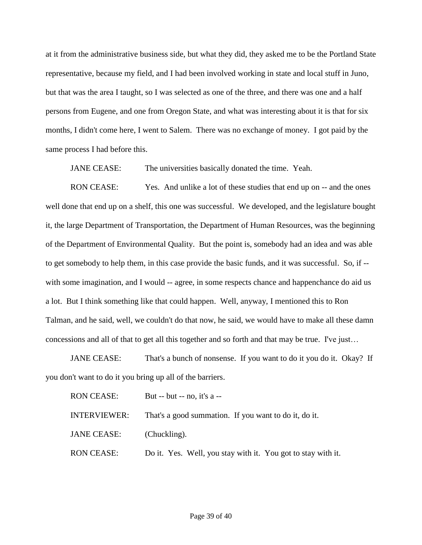at it from the administrative business side, but what they did, they asked me to be the Portland State representative, because my field, and I had been involved working in state and local stuff in Juno, but that was the area I taught, so I was selected as one of the three, and there was one and a half persons from Eugene, and one from Oregon State, and what was interesting about it is that for six months, I didn't come here, I went to Salem. There was no exchange of money. I got paid by the same process I had before this.

JANE CEASE: The universities basically donated the time. Yeah.

RON CEASE: Yes. And unlike a lot of these studies that end up on -- and the ones well done that end up on a shelf, this one was successful. We developed, and the legislature bought it, the large Department of Transportation, the Department of Human Resources, was the beginning of the Department of Environmental Quality. But the point is, somebody had an idea and was able to get somebody to help them, in this case provide the basic funds, and it was successful. So, if - with some imagination, and I would -- agree, in some respects chance and happenchance do aid us a lot. But I think something like that could happen. Well, anyway, I mentioned this to Ron Talman, and he said, well, we couldn't do that now, he said, we would have to make all these damn concessions and all of that to get all this together and so forth and that may be true. I've just…

JANE CEASE: That's a bunch of nonsense. If you want to do it you do it. Okay? If you don't want to do it you bring up all of the barriers.

| RON CEASE:   | But -- but -- no, it's a --                                  |
|--------------|--------------------------------------------------------------|
| INTERVIEWER: | That's a good summation. If you want to do it, do it.        |
| JANE CEASE:  | (Chuckling).                                                 |
| RON CEASE:   | Do it. Yes. Well, you stay with it. You got to stay with it. |